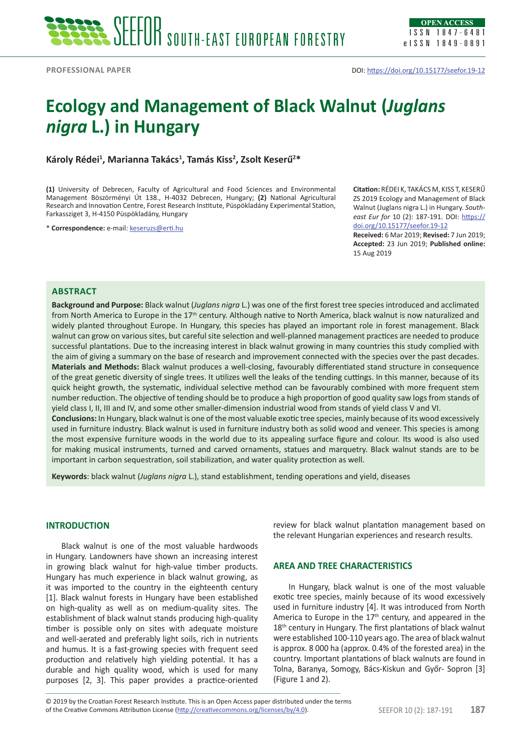# **Ecology and Management of Black Walnut (***Juglans nigra* **L.) in Hungary**

**Károly Rédei1 , Marianna Takács1 , Tamás Kiss2 , Zsolt Keserű<sup>2</sup> \***

**(1)** University of Debrecen, Faculty of Agricultural and Food Sciences and Environmental Management Böszörményi Út 138., H-4032 Debrecen, Hungary; **(2)** National Agricultural Research and Innovation Centre, Forest Research Institute, Püspökladány Experimental Station, Farkassziget 3, H-4150 Püspökladány, Hungary

\* **Correspondence:** e-mail: [keseruzs@erti.hu](mailto:keseruzs@erti.hu)

**Citation:** RÉDEI K, TAKÁCS M, KISS T, KESERŰ ZS 2019 Ecology and Management of Black Walnut (Juglans nigra L.) in Hungary. *Southeast Eur for* 10 (2): 187-191. DOI: [https://](https://doi.org/10.15177/seefor.19-12) [doi.org/10.15177/seefor.19-12](https://doi.org/10.15177/seefor.19-12)

**Received:** 6 Mar 2019; **Revised:** 7 Jun 2019; **Accepted:** 23 Jun 2019; **Published online:**  15 Aug 2019

# **Abstract**

**Background and Purpose:** Black walnut (*Juglans nigra* L.) was one of the first forest tree species introduced and acclimated from North America to Europe in the  $17<sup>th</sup>$  century. Although native to North America, black walnut is now naturalized and widely planted throughout Europe. In Hungary, this species has played an important role in forest management. Black walnut can grow on various sites, but careful site selection and well-planned management practices are needed to produce successful plantations. Due to the increasing interest in black walnut growing in many countries this study complied with the aim of giving a summary on the base of research and improvement connected with the species over the past decades. **Materials and Methods:** Black walnut produces a well-closing, favourably differentiated stand structure in consequence of the great genetic diversity of single trees. It utilizes well the leaks of the tending cuttings. In this manner, because of its quick height growth, the systematic, individual selective method can be favourably combined with more frequent stem number reduction. The objective of tending should be to produce a high proportion of good quality saw logs from stands of yield class I, II, III and IV, and some other smaller-dimension industrial wood from stands of yield class V and VI. **Conclusions:** In Hungary, black walnut is one of the most valuable exotic tree species, mainly because of its wood excessively used in furniture industry. Black walnut is used in furniture industry both as solid wood and veneer. This species is among

the most expensive furniture woods in the world due to its appealing surface figure and colour. Its wood is also used for making musical instruments, turned and carved ornaments, statues and marquetry. Black walnut stands are to be important in carbon sequestration, soil stabilization, and water quality protection as well.

**Keywords**: black walnut (*Juglans nigra* L.), stand establishment, tending operations and yield, diseases

# **INTRODUCTION**

Black walnut is one of the most valuable hardwoods in Hungary. Landowners have shown an increasing interest in growing black walnut for high-value timber products. Hungary has much experience in black walnut growing, as it was imported to the country in the eighteenth century [1]. Black walnut forests in Hungary have been established on high-quality as well as on medium-quality sites. The establishment of black walnut stands producing high-quality timber is possible only on sites with adequate moisture and well-aerated and preferably light soils, rich in nutrients and humus. It is a fast-growing species with frequent seed production and relatively high yielding potential. It has a durable and high quality wood, which is used for many purposes [2, 3]. This paper provides a practice-oriented

review for black walnut plantation management based on the relevant Hungarian experiences and research results.

# **AREA AND TREE CHARACTERISTICS**

In Hungary, black walnut is one of the most valuable exotic tree species, mainly because of its wood excessively used in furniture industry [4]. It was introduced from North America to Europe in the  $17<sup>th</sup>$  century, and appeared in the 18<sup>th</sup> century in Hungary. The first plantations of black walnut were established 100-110 years ago. The area of black walnut is approx. 8 000 ha (approx. 0.4% of the forested area) in the country. Important plantations of black walnuts are found in Tolna, Baranya, Somogy, Bács-Kiskun and Győr- Sopron [3] (Figure 1 and 2).

of the Creative Commons Attribution License (<http://creativecommons.org/licenses/by/4.0>). SEEFOR 10 (2): 187-191 **187** © 2019 by the Croatian Forest Research Institute. This is an Open Access paper distributed under the terms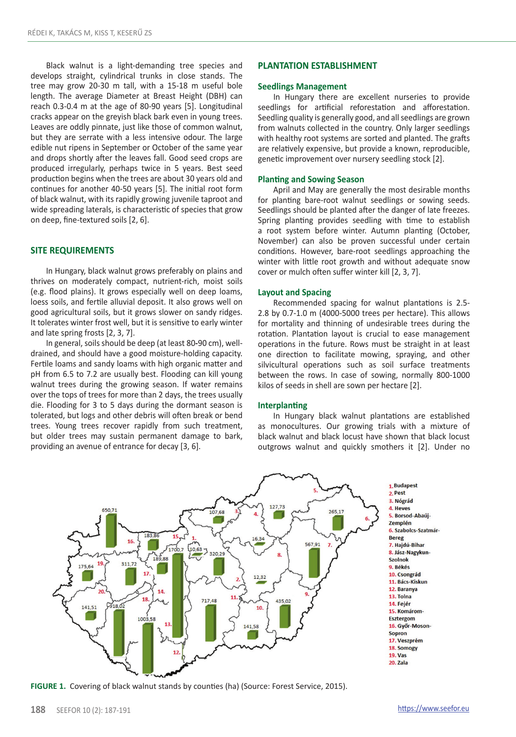Black walnut is a light-demanding tree species and develops straight, cylindrical trunks in close stands. The tree may grow 20-30 m tall, with a 15-18 m useful bole length. The average Diameter at Breast Height (DBH) can reach 0.3-0.4 m at the age of 80-90 years [5]. Longitudinal cracks appear on the greyish black bark even in young trees. Leaves are oddly pinnate, just like those of common walnut, but they are serrate with a less intensive odour. The large edible nut ripens in September or October of the same year and drops shortly after the leaves fall. Good seed crops are produced irregularly, perhaps twice in 5 years. Best seed production begins when the trees are about 30 years old and continues for another 40-50 years [5]. The initial root form of black walnut, with its rapidly growing juvenile taproot and wide spreading laterals, is characteristic of species that grow on deep, fine-textured soils [2, 6].

# **SITE REQUIREMENTS**

In Hungary, black walnut grows preferably on plains and thrives on moderately compact, nutrient-rich, moist soils (e.g. flood plains). It grows especially well on deep loams, loess soils, and fertile alluvial deposit. It also grows well on good agricultural soils, but it grows slower on sandy ridges. It tolerates winter frost well, but it is sensitive to early winter and late spring frosts [2, 3, 7].

In general, soils should be deep (at least 80**-**90 cm), welldrained, and should have a good moisture-holding capacity. Fertile loams and sandy loams with high organic matter and pH from 6.5 to 7.2 are usually best. Flooding can kill young walnut trees during the growing season. If water remains over the tops of trees for more than 2 days, the trees usually die. Flooding for 3 to 5 days during the dormant season is tolerated, but logs and other debris will often break or bend trees. Young trees recover rapidly from such treatment, but older trees may sustain permanent damage to bark, providing an avenue of entrance for decay [3, 6].

## **PLANTATION ESTABLISHMENT**

# **Seedlings Management**

In Hungary there are excellent nurseries to provide seedlings for artificial reforestation and afforestation. Seedling quality is generally good, and all seedlings are grown from walnuts collected in the country. Only larger seedlings with healthy root systems are sorted and planted. The grafts are relatively expensive, but provide a known, reproducible, genetic improvement over nursery seedling stock [2].

#### **Planting and Sowing Season**

April and May are generally the most desirable months for planting bare-root walnut seedlings or sowing seeds. Seedlings should be planted after the danger of late freezes. Spring planting provides seedling with time to establish a root system before winter. Autumn planting (October, November) can also be proven successful under certain conditions. However, bare-root seedlings approaching the winter with little root growth and without adequate snow cover or mulch often suffer winter kill [2, 3, 7].

## **Layout and Spacing**

Recommended spacing for walnut plantations is 2.5- 2.8 by 0.7-1.0 m (4000-5000 trees per hectare). This allows for mortality and thinning of undesirable trees during the rotation. Plantation layout is crucial to ease management operations in the future. Rows must be straight in at least one direction to facilitate mowing, spraying, and other silvicultural operations such as soil surface treatments between the rows. In case of sowing, normally 800-1000 kilos of seeds in shell are sown per hectare [2].

#### **Interplanting**

In Hungary black walnut plantations are established as monocultures. Our growing trials with a mixture of black walnut and black locust have shown that black locust outgrows walnut and quickly smothers it [2]. Under no



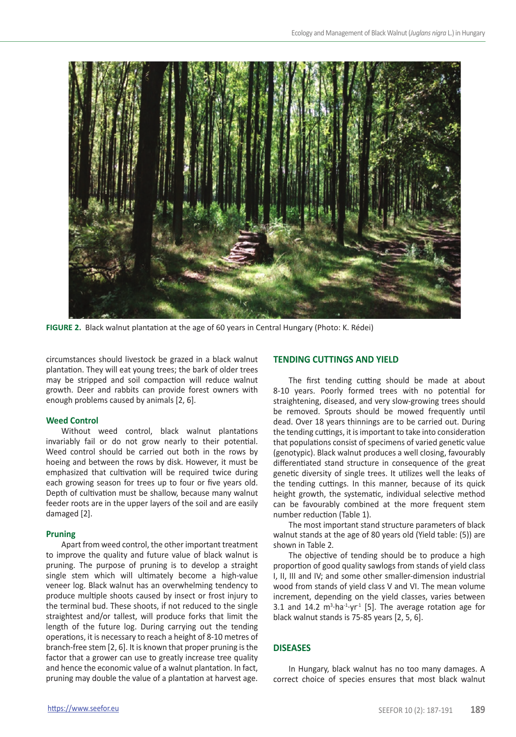

**FIGURE 2.** Black walnut plantation at the age of 60 years in Central Hungary (Photo: K. Rédei)

circumstances should livestock be grazed in a black walnut plantation. They will eat young trees; the bark of older trees may be stripped and soil compaction will reduce walnut growth. Deer and rabbits can provide forest owners with enough problems caused by animals [2, 6].

# **Weed Control**

Without weed control, black walnut plantations invariably fail or do not grow nearly to their potential. Weed control should be carried out both in the rows by hoeing and between the rows by disk. However, it must be emphasized that cultivation will be required twice during each growing season for trees up to four or five years old. Depth of cultivation must be shallow, because many walnut feeder roots are in the upper layers of the soil and are easily damaged [2].

# **Pruning**

Apart from weed control, the other important treatment to improve the quality and future value of black walnut is pruning. The purpose of pruning is to develop a straight single stem which will ultimately become a high-value veneer log. Black walnut has an overwhelming tendency to produce multiple shoots caused by insect or frost injury to the terminal bud. These shoots, if not reduced to the single straightest and/or tallest, will produce forks that limit the length of the future log. During carrying out the tending operations, it is necessary to reach a height of 8-10 metres of branch-free stem [2, 6]. It is known that proper pruning is the factor that a grower can use to greatly increase tree quality and hence the economic value of a walnut plantation. In fact, pruning may double the value of a plantation at harvest age.

# **TENDING CUTTINGS AND YIELD**

The first tending cutting should be made at about 8-10 years. Poorly formed trees with no potential for straightening, diseased, and very slow-growing trees should be removed. Sprouts should be mowed frequently until dead. Over 18 years thinnings are to be carried out. During the tending cuttings, it is important to take into consideration that populations consist of specimens of varied genetic value (genotypic). Black walnut produces a well closing, favourably differentiated stand structure in consequence of the great genetic diversity of single trees. It utilizes well the leaks of the tending cuttings. In this manner, because of its quick height growth, the systematic, individual selective method can be favourably combined at the more frequent stem number reduction (Table 1).

The most important stand structure parameters of black walnut stands at the age of 80 years old (Yield table: (5)) are shown in Table 2*.*

The objective of tending should be to produce a high proportion of good quality sawlogs from stands of yield class I, II, III and IV; and some other smaller-dimension industrial wood from stands of yield class V and VI. The mean volume increment, depending on the yield classes, varies between 3.1 and 14.2  $m^3$ ·ha<sup>-1</sup>·yr<sup>-1</sup> [5]. The average rotation age for black walnut stands is 75-85 years [2, 5, 6].

# **DISEASES**

In Hungary, black walnut has no too many damages. A correct choice of species ensures that most black walnut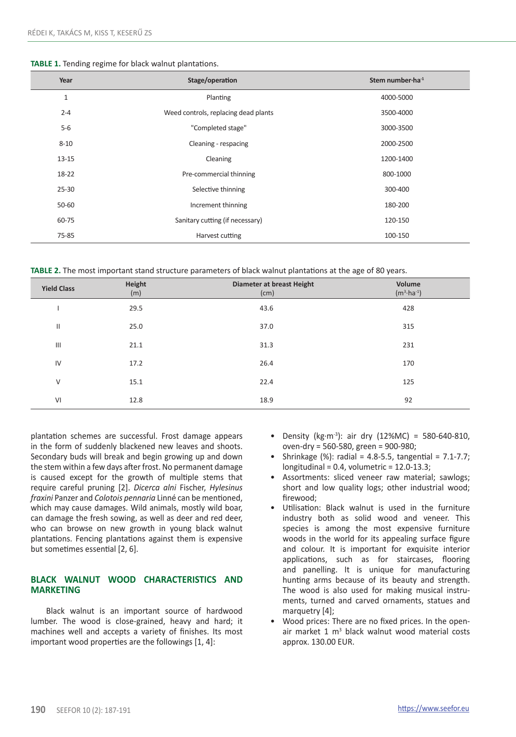| Year      | Stage/operation                      | Stem number $\cdot$ ha $^{-1}$ |
|-----------|--------------------------------------|--------------------------------|
| 1         | Planting                             | 4000-5000                      |
| $2 - 4$   | Weed controls, replacing dead plants | 3500-4000                      |
| $5-6$     | "Completed stage"                    | 3000-3500                      |
| $8 - 10$  | Cleaning - respacing                 | 2000-2500                      |
| $13 - 15$ | Cleaning                             | 1200-1400                      |
| 18-22     | Pre-commercial thinning              | 800-1000                       |
| $25 - 30$ | Selective thinning                   | 300-400                        |
| 50-60     | Increment thinning                   | 180-200                        |
| 60-75     | Sanitary cutting (if necessary)      | 120-150                        |
| 75-85     | Harvest cutting                      | 100-150                        |

**TABLE 2.** The most important stand structure parameters of black walnut plantations at the age of 80 years.

| <b>Yield Class</b> | Height<br>(m) | Diameter at breast Height<br>(cm) | Volume<br>$(m^3 \cdot ha^{-1})$ |
|--------------------|---------------|-----------------------------------|---------------------------------|
|                    | 29.5          | 43.6                              | 428                             |
| Ш                  | 25.0          | 37.0                              | 315                             |
| $\mathbf{III}$     | 21.1          | 31.3                              | 231                             |
| IV                 | 17.2          | 26.4                              | 170                             |
| V                  | 15.1          | 22.4                              | 125                             |
| VI                 | 12.8          | 18.9                              | 92                              |

plantation schemes are successful. Frost damage appears in the form of suddenly blackened new leaves and shoots. Secondary buds will break and begin growing up and down the stem within a few days after frost. No permanent damage is caused except for the growth of multiple stems that require careful pruning [2]. *Dicerca alni* Fischer, *Hylesinus fraxini* Panzer and *Colotois pennaria* Linné can be mentioned, which may cause damages. Wild animals, mostly wild boar, can damage the fresh sowing, as well as deer and red deer, who can browse on new growth in young black walnut plantations. Fencing plantations against them is expensive but sometimes essential [2, 6].

# **BLACK WALNUT WOOD CHARACTERISTICS AND MARKETING**

Black walnut is an important source of hardwood lumber. The wood is close-grained, heavy and hard; it machines well and accepts a variety of finishes. Its most important wood properties are the followings [1, 4]:

- Density (kg·m<sup>-3</sup>): air dry (12%MC) = 580-640-810, oven-dry = 560-580, green = 900-980;
- Shrinkage  $(%)$ : radial = 4.8-5.5, tangential = 7.1-7.7;  $longitudinal = 0.4$ , volumetric = 12.0-13.3;
- Assortments: sliced veneer raw material; sawlogs; short and low quality logs; other industrial wood; firewood;
- Utilisation: Black walnut is used in the furniture industry both as solid wood and veneer. This species is among the most expensive furniture woods in the world for its appealing surface figure and colour. It is important for exquisite interior applications, such as for staircases, flooring and panelling. It is unique for manufacturing hunting arms because of its beauty and strength. The wood is also used for making musical instruments, turned and carved ornaments, statues and marquetry [4];
- Wood prices: There are no fixed prices. In the openair market 1 m<sup>3</sup> black walnut wood material costs approx. 130.00 EUR.